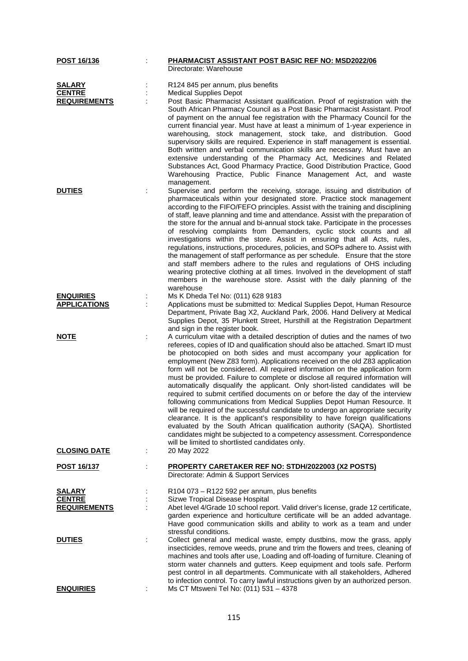| POST 16/136                                    |   | PHARMACIST ASSISTANT POST BASIC REF NO: MSD2022/06<br>Directorate: Warehouse                                                                                                                                                                                                                                                                                                                                                                                                                                                                                                                                                                                                                                                                                                                                                                                                                                                                                                                                                                                                                                             |
|------------------------------------------------|---|--------------------------------------------------------------------------------------------------------------------------------------------------------------------------------------------------------------------------------------------------------------------------------------------------------------------------------------------------------------------------------------------------------------------------------------------------------------------------------------------------------------------------------------------------------------------------------------------------------------------------------------------------------------------------------------------------------------------------------------------------------------------------------------------------------------------------------------------------------------------------------------------------------------------------------------------------------------------------------------------------------------------------------------------------------------------------------------------------------------------------|
| <b>SALARY</b><br><b>CENTRE</b>                 |   | R124 845 per annum, plus benefits<br><b>Medical Supplies Depot</b>                                                                                                                                                                                                                                                                                                                                                                                                                                                                                                                                                                                                                                                                                                                                                                                                                                                                                                                                                                                                                                                       |
| <b>REQUIREMENTS</b>                            |   | Post Basic Pharmacist Assistant qualification. Proof of registration with the<br>South African Pharmacy Council as a Post Basic Pharmacist Assistant. Proof<br>of payment on the annual fee registration with the Pharmacy Council for the<br>current financial year. Must have at least a minimum of 1-year experience in<br>warehousing, stock management, stock take, and distribution. Good<br>supervisory skills are required. Experience in staff management is essential.<br>Both written and verbal communication skills are necessary. Must have an<br>extensive understanding of the Pharmacy Act, Medicines and Related<br>Substances Act, Good Pharmacy Practice, Good Distribution Practice, Good<br>Warehousing Practice, Public Finance Management Act, and waste<br>management.                                                                                                                                                                                                                                                                                                                          |
| <b>DUTIES</b>                                  |   | Supervise and perform the receiving, storage, issuing and distribution of<br>pharmaceuticals within your designated store. Practice stock management<br>according to the FIFO/FEFO principles. Assist with the training and disciplining<br>of staff, leave planning and time and attendance. Assist with the preparation of<br>the store for the annual and bi-annual stock take. Participate in the processes<br>of resolving complaints from Demanders, cyclic stock counts and all<br>investigations within the store. Assist in ensuring that all Acts, rules,<br>regulations, instructions, procedures, policies, and SOPs adhere to. Assist with<br>the management of staff performance as per schedule. Ensure that the store<br>and staff members adhere to the rules and regulations of OHS including<br>wearing protective clothing at all times. Involved in the development of staff<br>members in the warehouse store. Assist with the daily planning of the<br>warehouse                                                                                                                                  |
| <b>ENQUIRIES</b><br><b>APPLICATIONS</b>        | ÷ | Ms K Dheda Tel No: (011) 628 9183<br>Applications must be submitted to: Medical Supplies Depot, Human Resource<br>Department, Private Bag X2, Auckland Park, 2006. Hand Delivery at Medical<br>Supplies Depot, 35 Plunkett Street, Hursthill at the Registration Department<br>and sign in the register book.                                                                                                                                                                                                                                                                                                                                                                                                                                                                                                                                                                                                                                                                                                                                                                                                            |
| <b>NOTE</b>                                    | t | A curriculum vitae with a detailed description of duties and the names of two<br>referees, copies of ID and qualification should also be attached. Smart ID must<br>be photocopied on both sides and must accompany your application for<br>employment (New Z83 form). Applications received on the old Z83 application<br>form will not be considered. All required information on the application form<br>must be provided. Failure to complete or disclose all required information will<br>automatically disqualify the applicant. Only short-listed candidates will be<br>required to submit certified documents on or before the day of the interview<br>following communications from Medical Supplies Depot Human Resource. It<br>will be required of the successful candidate to undergo an appropriate security<br>clearance. It is the applicant's responsibility to have foreign qualifications<br>evaluated by the South African qualification authority (SAQA). Shortlisted<br>candidates might be subjected to a competency assessment. Correspondence<br>will be limited to shortlisted candidates only. |
| <b>CLOSING DATE</b>                            | ÷ | 20 May 2022                                                                                                                                                                                                                                                                                                                                                                                                                                                                                                                                                                                                                                                                                                                                                                                                                                                                                                                                                                                                                                                                                                              |
| <u>POST 16/137</u>                             |   | <b>PROPERTY CARETAKER REF NO: STDH/2022003 (X2 POSTS)</b><br>Directorate: Admin & Support Services                                                                                                                                                                                                                                                                                                                                                                                                                                                                                                                                                                                                                                                                                                                                                                                                                                                                                                                                                                                                                       |
| SALARY<br><b>CENTRE</b><br><b>REQUIREMENTS</b> |   | $R$ 104 073 – R122 592 per annum, plus benefits<br>Sizwe Tropical Disease Hospital<br>Abet level 4/Grade 10 school report. Valid driver's license, grade 12 certificate,<br>garden experience and horticulture certificate will be an added advantage.<br>Have good communication skills and ability to work as a team and under<br>stressful conditions.                                                                                                                                                                                                                                                                                                                                                                                                                                                                                                                                                                                                                                                                                                                                                                |
| <b>DUTIES</b>                                  | ÷ | Collect general and medical waste, empty dustbins, mow the grass, apply<br>insecticides, remove weeds, prune and trim the flowers and trees, cleaning of<br>machines and tools after use, Loading and off-loading of furniture. Cleaning of<br>storm water channels and gutters. Keep equipment and tools safe. Perform<br>pest control in all departments. Communicate with all stakeholders, Adhered<br>to infection control. To carry lawful instructions given by an authorized person.                                                                                                                                                                                                                                                                                                                                                                                                                                                                                                                                                                                                                              |
| <b>ENQUIRIES</b>                               |   | Ms CT Mtsweni Tel No: (011) 531 - 4378                                                                                                                                                                                                                                                                                                                                                                                                                                                                                                                                                                                                                                                                                                                                                                                                                                                                                                                                                                                                                                                                                   |